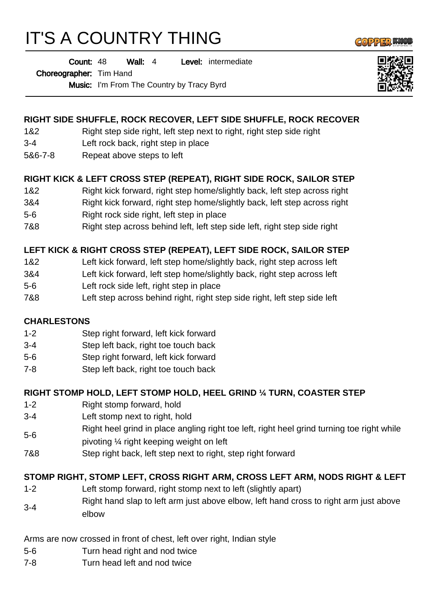# IT'S A COUNTRY THING

Wall: 4 Level: intermediate Count: 48

#### Choreographer: Tim Hand

Music: I'm From The Country by Tracy Byrd

# **RIGHT SIDE SHUFFLE, ROCK RECOVER, LEFT SIDE SHUFFLE, ROCK RECOVER**

- 1&2 Right step side right, left step next to right, right step side right
- 3-4 Left rock back, right step in place
- 5&6-7-8 Repeat above steps to left

## **RIGHT KICK & LEFT CROSS STEP (REPEAT), RIGHT SIDE ROCK, SAILOR STEP**

- 1&2 Right kick forward, right step home/slightly back, left step across right
- 3&4 Right kick forward, right step home/slightly back, left step across right
- 5-6 Right rock side right, left step in place
- 7&8 Right step across behind left, left step side left, right step side right

# **LEFT KICK & RIGHT CROSS STEP (REPEAT), LEFT SIDE ROCK, SAILOR STEP**

- 1&2 Left kick forward, left step home/slightly back, right step across left
- 3&4 Left kick forward, left step home/slightly back, right step across left
- 5-6 Left rock side left, right step in place
- 7&8 Left step across behind right, right step side right, left step side left

## **CHARLESTONS**

- 1-2 Step right forward, left kick forward
- 3-4 Step left back, right toe touch back
- 5-6 Step right forward, left kick forward
- 7-8 Step left back, right toe touch back

## **RIGHT STOMP HOLD, LEFT STOMP HOLD, HEEL GRIND ¼ TURN, COASTER STEP**

- 1-2 Right stomp forward, hold
- 3-4 Left stomp next to right, hold
- 5-6 Right heel grind in place angling right toe left, right heel grind turning toe right while
- pivoting ¼ right keeping weight on left
- 7&8 Step right back, left step next to right, step right forward

## **STOMP RIGHT, STOMP LEFT, CROSS RIGHT ARM, CROSS LEFT ARM, NODS RIGHT & LEFT**

- 1-2 Left stomp forward, right stomp next to left (slightly apart)
- 3-4 Right hand slap to left arm just above elbow, left hand cross to right arm just above elbow

Arms are now crossed in front of chest, left over right, Indian style

- 5-6 Turn head right and nod twice
- 7-8 Turn head left and nod twice